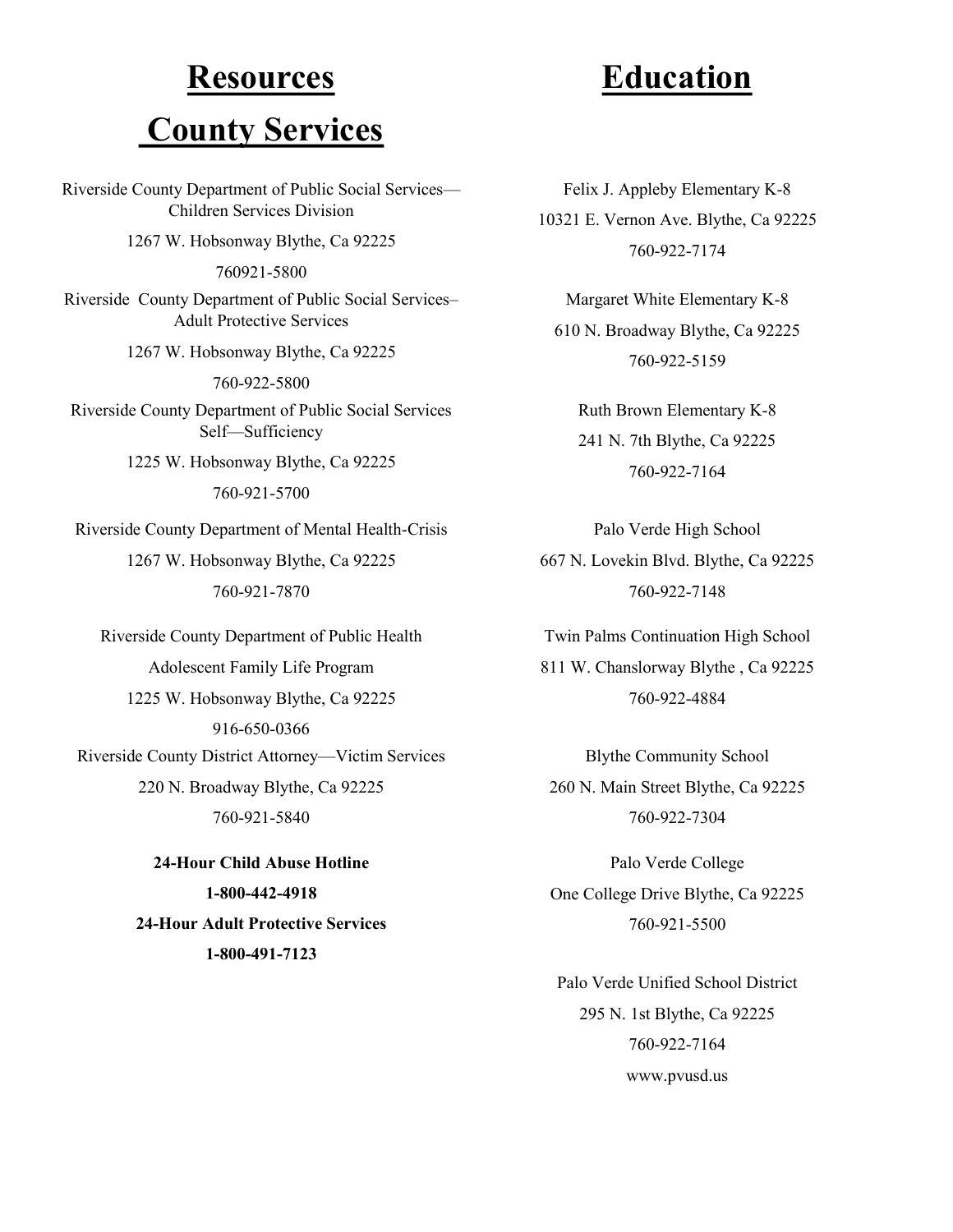# **Resources County Services**

Riverside County Department of Public Social Services— Children Services Division 1267 W. Hobsonway Blythe, Ca 92225 760921-5800 Riverside County Department of Public Social Services– Adult Protective Services 1267 W. Hobsonway Blythe, Ca 92225 760-922-5800 Riverside County Department of Public Social Services Self—Sufficiency 1225 W. Hobsonway Blythe, Ca 92225 760-921-5700 Riverside County Department of Mental Health-Crisis 1267 W. Hobsonway Blythe, Ca 92225 760-921-7870

Riverside County Department of Public Health Adolescent Family Life Program 1225 W. Hobsonway Blythe, Ca 92225 916-650-0366 Riverside County District Attorney—Victim Services 220 N. Broadway Blythe, Ca 92225 760-921-5840

> **-Hour Child Abuse Hotline -800-442-4918 -Hour Adult Protective Services -800-491-7123**

# **Education**

Felix J. Appleby Elementary K-8 10321 E. Vernon Ave. Blythe, Ca 92225 760-922-7174

Margaret White Elementary K-8 610 N. Broadway Blythe, Ca 92225 760-922-5159

Ruth Brown Elementary K-8 241 N. 7th Blythe, Ca 92225 760-922-7164

Palo Verde High School 667 N. Lovekin Blvd. Blythe, Ca 92225 760-922-7148

Twin Palms Continuation High School 811 W. Chanslorway Blythe , Ca 92225 760-922-4884

Blythe Community School 260 N. Main Street Blythe, Ca 92225 760-922-7304

Palo Verde College One College Drive Blythe, Ca 92225 760-921-5500

Palo Verde Unified School District 295 N. 1st Blythe, Ca 92225 760-922-7164 www.pvusd.us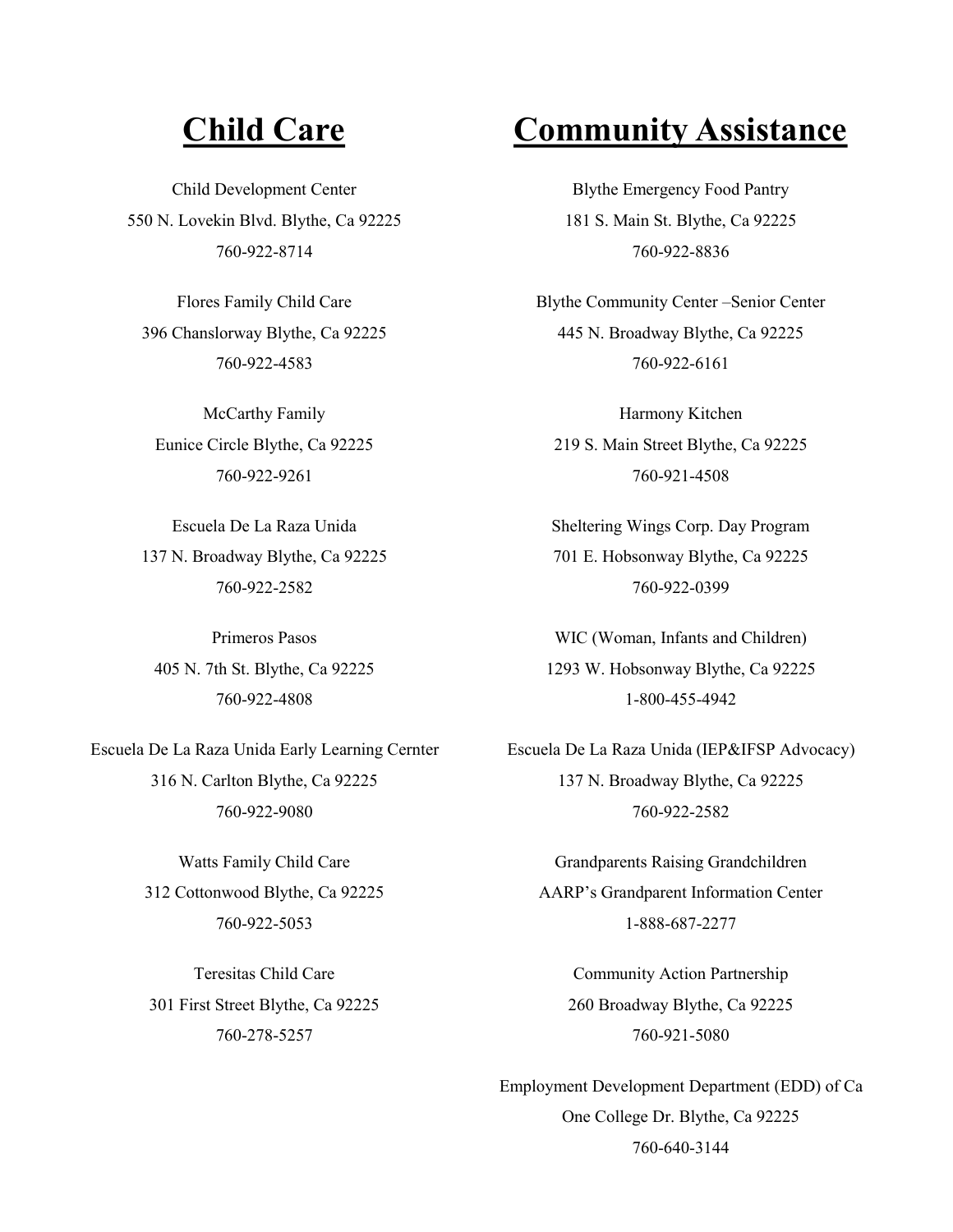Child Development Center 550 N. Lovekin Blvd. Blythe, Ca 92225 760-922-8714

Flores Family Child Care 396 Chanslorway Blythe, Ca 92225 760-922-4583

McCarthy Family Eunice Circle Blythe, Ca 92225 760-922-9261

Escuela De La Raza Unida 137 N. Broadway Blythe, Ca 92225 760-922-2582

Primeros Pasos 405 N. 7th St. Blythe, Ca 92225 760-922-4808

Escuela De La Raza Unida Early Learning Cernter 316 N. Carlton Blythe, Ca 92225 760-922-9080

> Watts Family Child Care 312 Cottonwood Blythe, Ca 92225 760-922-5053

Teresitas Child Care 301 First Street Blythe, Ca 92225 760-278-5257

## **Child Care Community Assistance**

Blythe Emergency Food Pantry 181 S. Main St. Blythe, Ca 92225 760-922-8836

Blythe Community Center –Senior Center 445 N. Broadway Blythe, Ca 92225 760-922-6161

Harmony Kitchen 219 S. Main Street Blythe, Ca 92225 760-921-4508

Sheltering Wings Corp. Day Program 701 E. Hobsonway Blythe, Ca 92225 760-922-0399

WIC (Woman, Infants and Children) 1293 W. Hobsonway Blythe, Ca 92225 1-800-455-4942

Escuela De La Raza Unida (IEP&IFSP Advocacy) 137 N. Broadway Blythe, Ca 92225 760-922-2582

Grandparents Raising Grandchildren AARP's Grandparent Information Center 1-888-687-2277

Community Action Partnership 260 Broadway Blythe, Ca 92225 760-921-5080

Employment Development Department (EDD) of Ca One College Dr. Blythe, Ca 92225 760-640-3144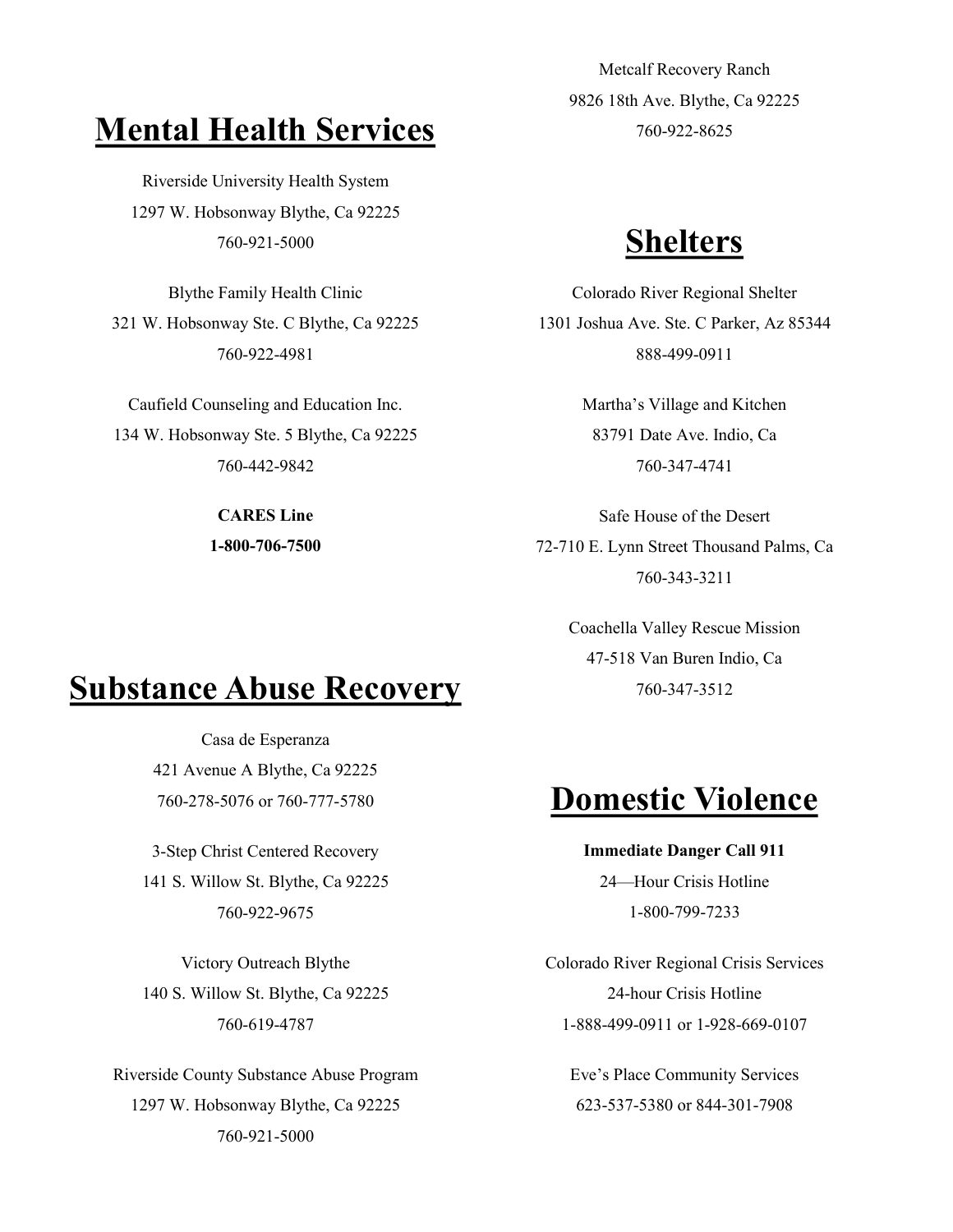# **Mental Health Services**

Riverside University Health System 1297 W. Hobsonway Blythe, Ca 92225 <sup>760</sup>-921-<sup>5000</sup> **Shelters**

Blythe Family Health Clinic 321 W. Hobsonway Ste. C Blythe, Ca 92225 760-922-4981

Caufield Counseling and Education Inc. 134 W. Hobsonway Ste. 5 Blythe, Ca 92225 760-442-9842

> **CARES Line 1-800-706-7500**

# **Substance Abuse Recovery**

Casa de Esperanza 421 Avenue A Blythe, Ca 92225

3-Step Christ Centered Recovery 141 S. Willow St. Blythe, Ca 92225 760-922-9675

Victory Outreach Blythe 140 S. Willow St. Blythe, Ca 92225 760-619-4787

Riverside County Substance Abuse Program 1297 W. Hobsonway Blythe, Ca 92225 760-921-5000

Metcalf Recovery Ranch 9826 18th Ave. Blythe, Ca 92225 760-922-8625

Colorado River Regional Shelter 1301 Joshua Ave. Ste. C Parker, Az 85344 888-499-0911

> Martha's Village and Kitchen 83791 Date Ave. Indio, Ca 760-347-4741

Safe House of the Desert 72-710 E. Lynn Street Thousand Palms, Ca 760-343-3211

> Coachella Valley Rescue Mission 47-518 Van Buren Indio, Ca 760-347-3512

# <sup>760</sup>-278-5076 or 760-777-<sup>5780</sup> **Domestic Violence**

## **Immediate Danger Call 911** 24—Hour Crisis Hotline

1-800-799-7233

Colorado River Regional Crisis Services 24-hour Crisis Hotline 1-888-499-0911 or 1-928-669-0107

Eve's Place Community Services 623-537-5380 or 844-301-7908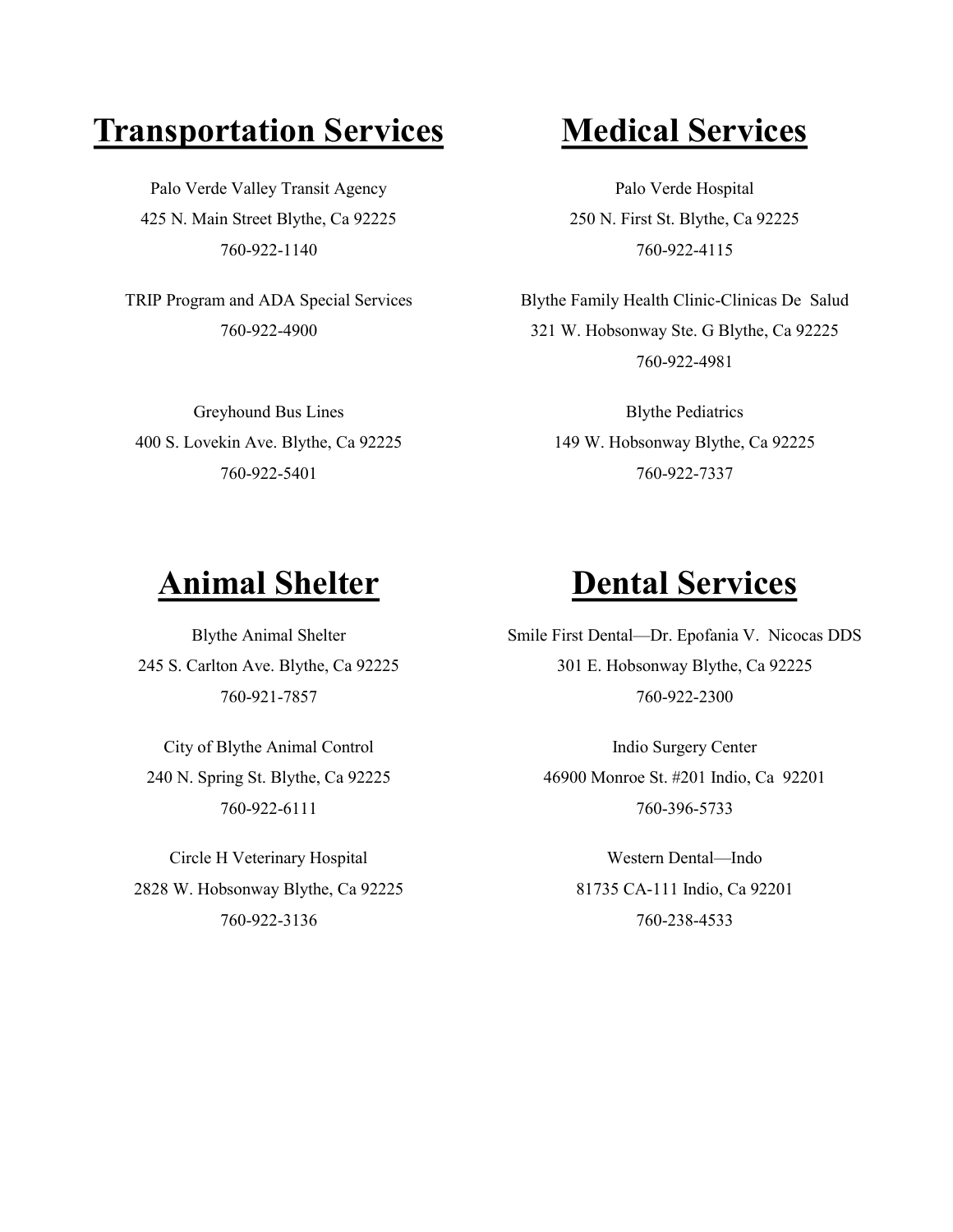# **Transportation Services Medical Services**

Palo Verde Valley Transit Agency 425 N. Main Street Blythe, Ca 92225 760-922-1140

TRIP Program and ADA Special Services 760-922-4900

Greyhound Bus Lines 400 S. Lovekin Ave. Blythe, Ca 92225 760-922-5401

Palo Verde Hospital 250 N. First St. Blythe, Ca 92225 760-922-4115

Blythe Family Health Clinic-Clinicas De Salud 321 W. Hobsonway Ste. G Blythe, Ca 92225 760-922-4981

> Blythe Pediatrics 149 W. Hobsonway Blythe, Ca 92225 760-922-7337

Blythe Animal Shelter 245 S. Carlton Ave. Blythe, Ca 92225 760-921-7857

City of Blythe Animal Control 240 N. Spring St. Blythe, Ca 92225 760-922-6111

Circle H Veterinary Hospital 2828 W. Hobsonway Blythe, Ca 92225 760-922-3136

# **Animal Shelter Dental Services**

Smile First Dental—Dr. Epofania V. Nicocas DDS 301 E. Hobsonway Blythe, Ca 92225 760-922-2300

> Indio Surgery Center 46900 Monroe St. #201 Indio, Ca 92201 760-396-5733

> > Western Dental—Indo 81735 CA-111 Indio, Ca 92201 760-238-4533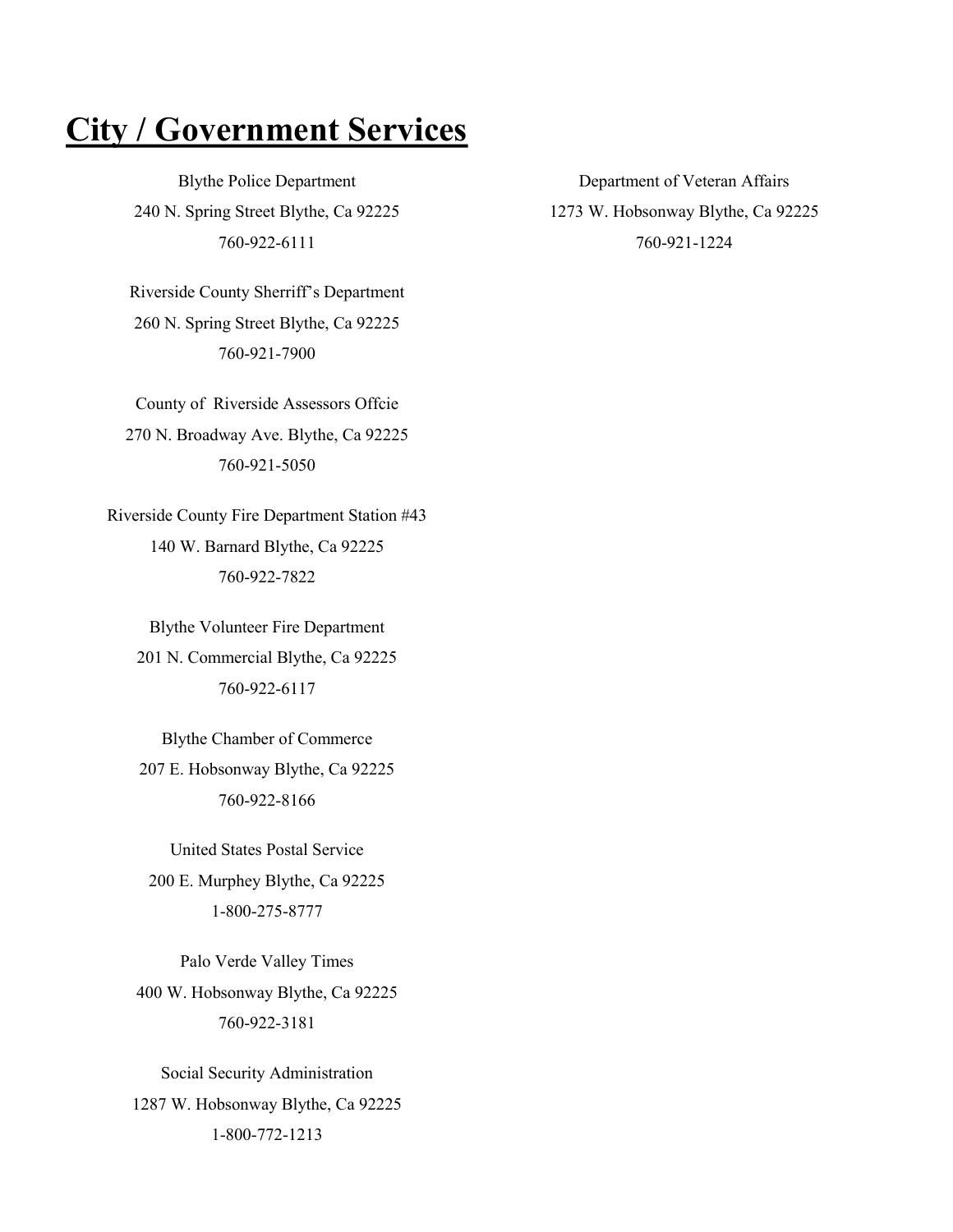# **City / Government Services**

Blythe Police Department 240 N. Spring Street Blythe, Ca 92225 760-922-6111

Riverside County Sherriff's Department 260 N. Spring Street Blythe, Ca 92225 760-921-7900

County of Riverside Assessors Offcie 270 N. Broadway Ave. Blythe, Ca 92225 760-921-5050

Riverside County Fire Department Station #43 140 W. Barnard Blythe, Ca 92225 760-922-7822

Blythe Volunteer Fire Department 201 N. Commercial Blythe, Ca 92225 760-922-6117

Blythe Chamber of Commerce 207 E. Hobsonway Blythe, Ca 92225 760-922-8166

United States Postal Service 200 E. Murphey Blythe, Ca 92225 1-800-275-8777

Palo Verde Valley Times 400 W. Hobsonway Blythe, Ca 92225 760-922-3181

Social Security Administration 1287 W. Hobsonway Blythe, Ca 92225 1-800-772-1213

Department of Veteran Affairs 1273 W. Hobsonway Blythe, Ca 92225 760-921-1224